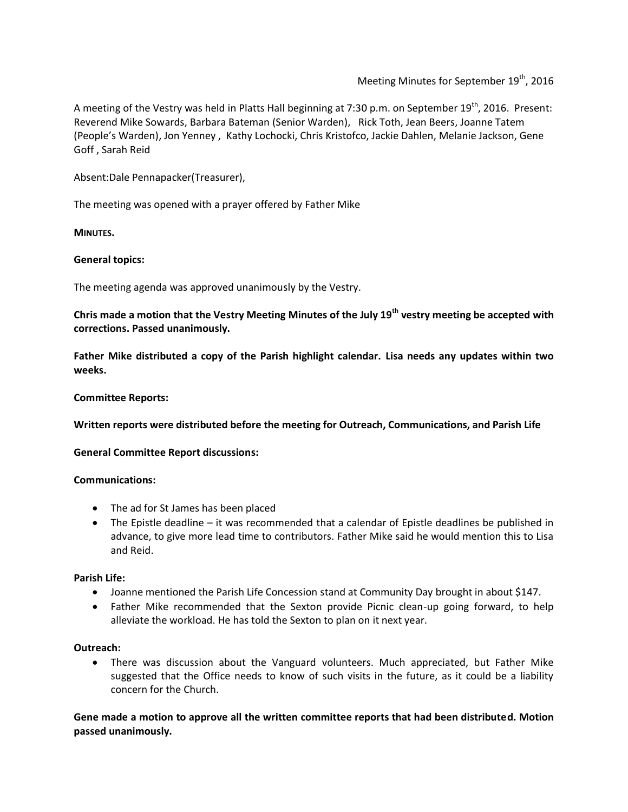Meeting Minutes for September 19<sup>th</sup>, 2016

A meeting of the Vestry was held in Platts Hall beginning at 7:30 p.m. on September 19<sup>th</sup>, 2016. Present: Reverend Mike Sowards, Barbara Bateman (Senior Warden), Rick Toth, Jean Beers, Joanne Tatem (People's Warden), Jon Yenney , Kathy Lochocki, Chris Kristofco, Jackie Dahlen, Melanie Jackson, Gene Goff , Sarah Reid

Absent:Dale Pennapacker(Treasurer),

The meeting was opened with a prayer offered by Father Mike

**MINUTES.**

## **General topics:**

The meeting agenda was approved unanimously by the Vestry.

**Chris made a motion that the Vestry Meeting Minutes of the July 19th vestry meeting be accepted with corrections. Passed unanimously.**

**Father Mike distributed a copy of the Parish highlight calendar. Lisa needs any updates within two weeks.**

## **Committee Reports:**

**Written reports were distributed before the meeting for Outreach, Communications, and Parish Life**

**General Committee Report discussions:**

# **Communications:**

- The ad for St James has been placed
- The Epistle deadline it was recommended that a calendar of Epistle deadlines be published in advance, to give more lead time to contributors. Father Mike said he would mention this to Lisa and Reid.

### **Parish Life:**

- Joanne mentioned the Parish Life Concession stand at Community Day brought in about \$147.
- Father Mike recommended that the Sexton provide Picnic clean-up going forward, to help alleviate the workload. He has told the Sexton to plan on it next year.

### **Outreach:**

 There was discussion about the Vanguard volunteers. Much appreciated, but Father Mike suggested that the Office needs to know of such visits in the future, as it could be a liability concern for the Church.

**Gene made a motion to approve all the written committee reports that had been distributed. Motion passed unanimously.**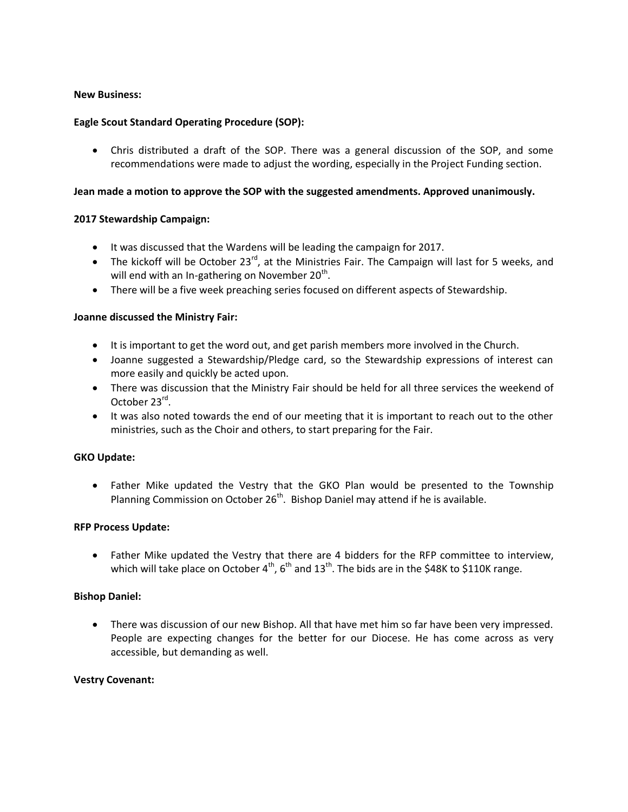# **New Business:**

# **Eagle Scout Standard Operating Procedure (SOP):**

 Chris distributed a draft of the SOP. There was a general discussion of the SOP, and some recommendations were made to adjust the wording, especially in the Project Funding section.

## **Jean made a motion to approve the SOP with the suggested amendments. Approved unanimously.**

## **2017 Stewardship Campaign:**

- It was discussed that the Wardens will be leading the campaign for 2017.
- $\bullet$  The kickoff will be October 23<sup>rd</sup>, at the Ministries Fair. The Campaign will last for 5 weeks, and will end with an In-gathering on November 20<sup>th</sup>.
- There will be a five week preaching series focused on different aspects of Stewardship.

## **Joanne discussed the Ministry Fair:**

- It is important to get the word out, and get parish members more involved in the Church.
- Joanne suggested a Stewardship/Pledge card, so the Stewardship expressions of interest can more easily and quickly be acted upon.
- There was discussion that the Ministry Fair should be held for all three services the weekend of October 23<sup>rd</sup>.
- It was also noted towards the end of our meeting that it is important to reach out to the other ministries, such as the Choir and others, to start preparing for the Fair.

### **GKO Update:**

 Father Mike updated the Vestry that the GKO Plan would be presented to the Township Planning Commission on October  $26<sup>th</sup>$ . Bishop Daniel may attend if he is available.

### **RFP Process Update:**

 Father Mike updated the Vestry that there are 4 bidders for the RFP committee to interview, which will take place on October  $4^{th}$ ,  $6^{th}$  and  $13^{th}$ . The bids are in the \$48K to \$110K range.

### **Bishop Daniel:**

 There was discussion of our new Bishop. All that have met him so far have been very impressed. People are expecting changes for the better for our Diocese. He has come across as very accessible, but demanding as well.

### **Vestry Covenant:**